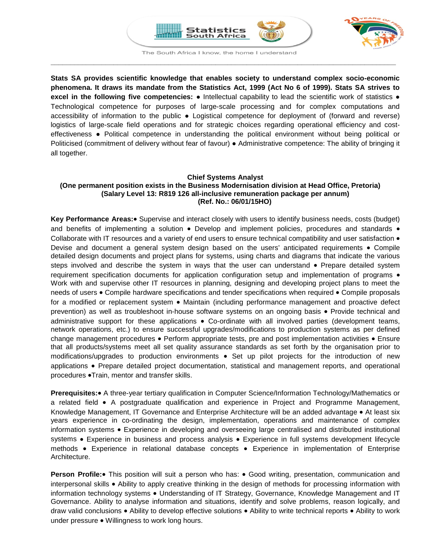



The South Africa I know, the home I understand **\_\_\_\_\_\_\_\_\_\_\_\_\_\_\_\_\_\_\_\_\_\_\_\_\_\_\_\_\_\_\_\_\_\_\_\_\_\_\_\_\_\_\_\_\_\_\_\_\_\_\_\_\_\_\_\_\_\_\_\_\_\_\_\_\_\_\_\_\_\_\_\_\_\_\_\_\_\_\_\_\_\_\_\_\_\_\_\_**

**Stats SA provides scientific knowledge that enables society to understand complex socio-economic phenomena. It draws its mandate from the Statistics Act, 1999 (Act No 6 of 1999). Stats SA strives to excel in the following five competencies:** ● Intellectual capability to lead the scientific work of statistics ● Technological competence for purposes of large-scale processing and for complex computations and accessibility of information to the public ● Logistical competence for deployment of (forward and reverse) logistics of large-scale field operations and for strategic choices regarding operational efficiency and costeffectiveness ● Political competence in understanding the political environment without being political or Politicised (commitment of delivery without fear of favour) ● Administrative competence: The ability of bringing it all together.

# **Chief Systems Analyst (One permanent position exists in the Business Modernisation division at Head Office, Pretoria) (Salary Level 13: R819 126 all-inclusive remuneration package per annum) (Ref. No.: 06/01/15HO)**

**Key Performance Areas:**• Supervise and interact closely with users to identify business needs, costs (budget) and benefits of implementing a solution • Develop and implement policies, procedures and standards • Collaborate with IT resources and a variety of end users to ensure technical compatibility and user satisfaction • Devise and document a general system design based on the users' anticipated requirements • Compile detailed design documents and project plans for systems, using charts and diagrams that indicate the various steps involved and describe the system in ways that the user can understand • Prepare detailed system requirement specification documents for application configuration setup and implementation of programs • Work with and supervise other IT resources in planning, designing and developing project plans to meet the needs of users • Compile hardware specifications and tender specifications when required • Compile proposals for a modified or replacement system • Maintain (including performance management and proactive defect prevention) as well as troubleshoot in-house software systems on an ongoing basis • Provide technical and administrative support for these applications • Co-ordinate with all involved parties (development teams, network operations, etc.) to ensure successful upgrades/modifications to production systems as per defined change management procedures • Perform appropriate tests, pre and post implementation activities • Ensure that all products/systems meet all set quality assurance standards as set forth by the organisation prior to modifications/upgrades to production environments • Set up pilot projects for the introduction of new applications • Prepare detailed project documentation, statistical and management reports, and operational procedures •Train, mentor and transfer skills.

**Prerequisites:**• A three-year tertiary qualification in Computer Science/Information Technology/Mathematics or a related field • A postgraduate qualification and experience in Project and Programme Management, Knowledge Management, IT Governance and Enterprise Architecture will be an added advantage • At least six years experience in co-ordinating the design, implementation, operations and maintenance of complex information systems • Experience in developing and overseeing large centralised and distributed institutional systems • Experience in business and process analysis • Experience in full systems development lifecycle methods • Experience in relational database concepts • Experience in implementation of Enterprise Architecture.

**Person Profile:**• This position will suit a person who has: • Good writing, presentation, communication and interpersonal skills • Ability to apply creative thinking in the design of methods for processing information with information technology systems • Understanding of IT Strategy, Governance, Knowledge Management and IT Governance. Ability to analyse information and situations, identify and solve problems, reason logically, and draw valid conclusions • Ability to develop effective solutions • Ability to write technical reports • Ability to work under pressure • Willingness to work long hours.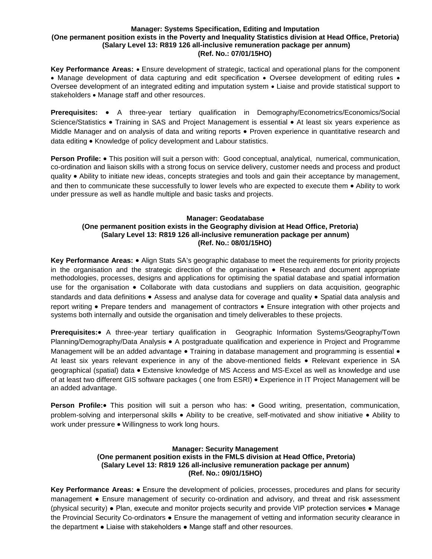#### **Manager: Systems Specification, Editing and Imputation (One permanent position exists in the Poverty and Inequality Statistics division at Head Office, Pretoria) (Salary Level 13: R819 126 all-inclusive remuneration package per annum) (Ref. No.: 07/01/15HO)**

**Key Performance Areas:** • Ensure development of strategic, tactical and operational plans for the component • Manage development of data capturing and edit specification • Oversee development of editing rules • Oversee development of an integrated editing and imputation system • Liaise and provide statistical support to stakeholders • Manage staff and other resources.

**Prerequisites:** • A three-year tertiary qualification in Demography/Econometrics/Economics/Social Science/Statistics • Training in SAS and Project Management is essential • At least six years experience as Middle Manager and on analysis of data and writing reports • Proven experience in quantitative research and data editing • Knowledge of policy development and Labour statistics.

**Person Profile:** • This position will suit a person with: Good conceptual, analytical, numerical, communication, co-ordination and liaison skills with a strong focus on service delivery, customer needs and process and product quality • Ability to initiate new ideas, concepts strategies and tools and gain their acceptance by management, and then to communicate these successfully to lower levels who are expected to execute them • Ability to work under pressure as well as handle multiple and basic tasks and projects.

# **Manager: Geodatabase (One permanent position exists in the Geography division at Head Office, Pretoria) (Salary Level 13: R819 126 all-inclusive remuneration package per annum) (Ref. No.: 08/01/15HO)**

**Key Performance Areas:** • Align Stats SA's geographic database to meet the requirements for priority projects in the organisation and the strategic direction of the organisation • Research and document appropriate methodologies, processes, designs and applications for optimising the spatial database and spatial information use for the organisation • Collaborate with data custodians and suppliers on data acquisition, geographic standards and data definitions • Assess and analyse data for coverage and quality • Spatial data analysis and report writing • Prepare tenders and management of contractors • Ensure integration with other projects and systems both internally and outside the organisation and timely deliverables to these projects.

**Prerequisites:**• A three-year tertiary qualification in Geographic Information Systems/Geography/Town Planning/Demography/Data Analysis • A postgraduate qualification and experience in Project and Programme Management will be an added advantage • Training in database management and programming is essential • At least six years relevant experience in any of the above-mentioned fields • Relevant experience in SA geographical (spatial) data • Extensive knowledge of MS Access and MS-Excel as well as knowledge and use of at least two different GIS software packages ( one from ESRI) • Experience in IT Project Management will be an added advantage.

**Person Profile:•** This position will suit a person who has: • Good writing, presentation, communication, problem-solving and interpersonal skills • Ability to be creative, self-motivated and show initiative • Ability to work under pressure • Willingness to work long hours.

## **Manager: Security Management (One permanent position exists in the FMLS division at Head Office, Pretoria) (Salary Level 13: R819 126 all-inclusive remuneration package per annum) (Ref. No.: 09/01/15HO)**

**Key Performance Areas:** ● Ensure the development of policies, processes, procedures and plans for security management ● Ensure management of security co-ordination and advisory, and threat and risk assessment (physical security) ● Plan, execute and monitor projects security and provide VIP protection services ● Manage the Provincial Security Co-ordinators ● Ensure the management of vetting and information security clearance in the department ● Liaise with stakeholders ● Mange staff and other resources.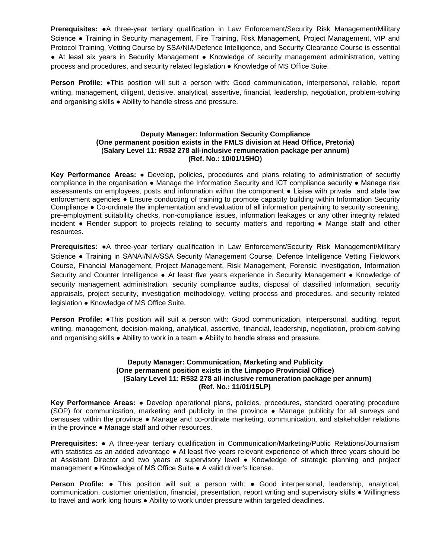**Prerequisites:** ●A three-year tertiary qualification in Law Enforcement/Security Risk Management/Military Science ● Training in Security management, Fire Training, Risk Management, Project Management, VIP and Protocol Training, Vetting Course by SSA/NIA/Defence Intelligence, and Security Clearance Course is essential ● At least six years in Security Management ● Knowledge of security management administration, vetting process and procedures, and security related legislation ● Knowledge of MS Office Suite.

**Person Profile:** ●This position will suit a person with: Good communication, interpersonal, reliable, report writing, management, diligent, decisive, analytical, assertive, financial, leadership, negotiation, problem-solving and organising skills ● Ability to handle stress and pressure.

# **Deputy Manager: Information Security Compliance (One permanent position exists in the FMLS division at Head Office, Pretoria) (Salary Level 11: R532 278 all-inclusive remuneration package per annum) (Ref. No.: 10/01/15HO)**

**Key Performance Areas:** ● Develop, policies, procedures and plans relating to administration of security compliance in the organisation ● Manage the Information Security and ICT compliance security ● Manage risk assessments on employees, posts and information within the component ● Liaise with private and state law enforcement agencies ● Ensure conducting of training to promote capacity building within Information Security Compliance ● Co-ordinate the implementation and evaluation of all information pertaining to security screening, pre-employment suitability checks, non-compliance issues, information leakages or any other integrity related incident ● Render support to projects relating to security matters and reporting ● Mange staff and other resources.

**Prerequisites:** ●A three-year tertiary qualification in Law Enforcement/Security Risk Management/Military Science ● Training in SANAI/NIA/SSA Security Management Course, Defence Intelligence Vetting Fieldwork Course, Financial Management, Project Management, Risk Management, Forensic Investigation, Information Security and Counter Intelligence · At least five years experience in Security Management • Knowledge of security management administration, security compliance audits, disposal of classified information, security appraisals, project security, investigation methodology, vetting process and procedures, and security related legislation ● Knowledge of MS Office Suite.

**Person Profile: ●This position will suit a person with: Good communication, interpersonal, auditing, report** writing, management, decision-making, analytical, assertive, financial, leadership, negotiation, problem-solving and organising skills ● Ability to work in a team ● Ability to handle stress and pressure.

### **Deputy Manager: Communication, Marketing and Publicity (One permanent position exists in the Limpopo Provincial Office) (Salary Level 11: R532 278 all-inclusive remuneration package per annum) (Ref. No.: 11/01/15LP)**

**Key Performance Areas:** ● Develop operational plans, policies, procedures, standard operating procedure (SOP) for communication, marketing and publicity in the province ● Manage publicity for all surveys and censuses within the province ● Manage and co-ordinate marketing, communication, and stakeholder relations in the province ● Manage staff and other resources.

**Prerequisites:** ● A three-year tertiary qualification in Communication/Marketing/Public Relations/Journalism with statistics as an added advantage ● At least five years relevant experience of which three years should be at Assistant Director and two years at supervisory level ● Knowledge of strategic planning and project management ● Knowledge of MS Office Suite ● A valid driver's license.

**Person Profile:** ● This position will suit a person with: ● Good interpersonal, leadership, analytical, communication, customer orientation, financial, presentation, report writing and supervisory skills ● Willingness to travel and work long hours ● Ability to work under pressure within targeted deadlines.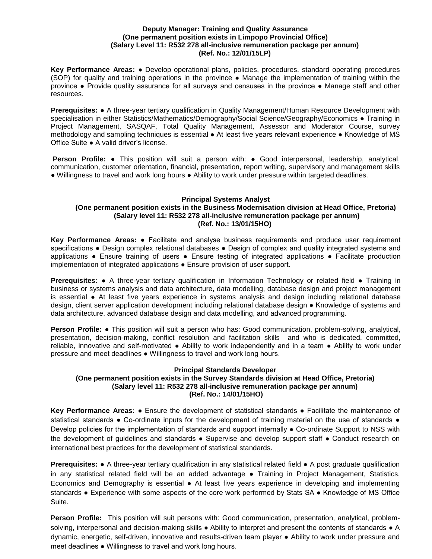#### **Deputy Manager: Training and Quality Assurance (One permanent position exists in Limpopo Provincial Office) (Salary Level 11: R532 278 all-inclusive remuneration package per annum) (Ref. No.: 12/01/15LP)**

**Key Performance Areas:** ● Develop operational plans, policies, procedures, standard operating procedures (SOP) for quality and training operations in the province ● Manage the implementation of training within the province ● Provide quality assurance for all surveys and censuses in the province ● Manage staff and other resources.

**Prerequisites:** ● A three-year tertiary qualification in Quality Management/Human Resource Development with specialisation in either Statistics/Mathematics/Demography/Social Science/Geography/Economics • Training in Project Management, SASQAF, Total Quality Management, Assessor and Moderator Course, survey methodology and sampling techniques is essential ● At least five years relevant experience ● Knowledge of MS Office Suite ● A valid driver's license.

**Person Profile:** ● This position will suit a person with: ● Good interpersonal, leadership, analytical, communication, customer orientation, financial, presentation, report writing, supervisory and management skills ● Willingness to travel and work long hours ● Ability to work under pressure within targeted deadlines.

#### **Principal Systems Analyst (One permanent position exists in the Business Modernisation division at Head Office, Pretoria) (Salary level 11: R532 278 all-inclusive remuneration package per annum) (Ref. No.: 13/01/15HO)**

**Key Performance Areas:** ● Facilitate and analyse business requirements and produce user requirement specifications • Design complex relational databases • Design of complex and quality integrated systems and applications ● Ensure training of users ● Ensure testing of integrated applications ● Facilitate production implementation of integrated applications ● Ensure provision of user support.

**Prerequisites: •** A three-year tertiary qualification in Information Technology or related field • Training in business or systems analysis and data architecture, data modelling, database design and project management is essential ● At least five years experience in systems analysis and design including relational database design, client server application development including relational database design ● Knowledge of systems and data architecture, advanced database design and data modelling, and advanced programming.

**Person Profile: ●** This position will suit a person who has: Good communication, problem-solving, analytical, presentation, decision-making, conflict resolution and facilitation skills and who is dedicated, committed, reliable, innovative and self-motivated · Ability to work independently and in a team · Ability to work under pressure and meet deadlines ● Willingness to travel and work long hours.

## **Principal Standards Developer (One permanent position exists in the Survey Standards division at Head Office, Pretoria) (Salary level 11: R532 278 all-inclusive remuneration package per annum) (Ref. No.: 14/01/15HO)**

**Key Performance Areas:** ● Ensure the development of statistical standards ● Facilitate the maintenance of statistical standards • Co-ordinate inputs for the development of training material on the use of standards • Develop policies for the implementation of standards and support internally ● Co-ordinate Support to NSS with the development of guidelines and standards ● Supervise and develop support staff ● Conduct research on international best practices for the development of statistical standards.

**Prerequisites: •** A three-year tertiary qualification in any statistical related field • A post graduate qualification in any statistical related field will be an added advantage ● Training in Project Management, Statistics, Economics and Demography is essential ● At least five years experience in developing and implementing standards • Experience with some aspects of the core work performed by Stats SA • Knowledge of MS Office Suite.

**Person Profile:** This position will suit persons with: Good communication, presentation, analytical, problemsolving, interpersonal and decision-making skills • Ability to interpret and present the contents of standards • A dynamic, energetic, self-driven, innovative and results-driven team player ● Ability to work under pressure and meet deadlines ● Willingness to travel and work long hours.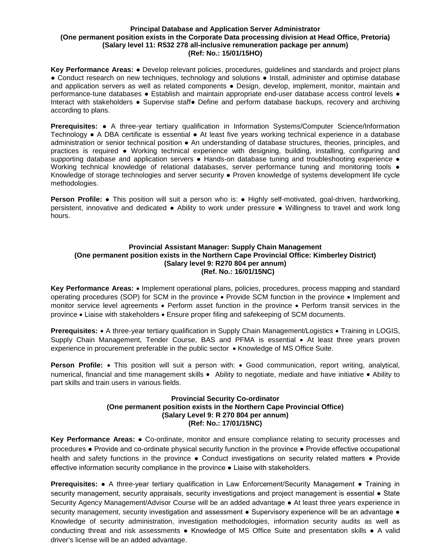#### **Principal Database and Application Server Administrator (One permanent position exists in the Corporate Data processing division at Head Office, Pretoria) (Salary level 11: R532 278 all-inclusive remuneration package per annum) (Ref: No.: 15/01/15HO)**

**Key Performance Areas:** ● Develop relevant policies, procedures, guidelines and standards and project plans • Conduct research on new techniques, technology and solutions • Install, administer and optimise database and application servers as well as related components • Design, develop, implement, monitor, maintain and performance-tune databases ● Establish and maintain appropriate end-user database access control levels ● Interact with stakeholders ● Supervise staff● Define and perform database backups, recovery and archiving according to plans.

**Prerequisites:** ● A three-year tertiary qualification in Information Systems/Computer Science/Information Technology ● A DBA certificate is essential ● At least five years working technical experience in a database administration or senior technical position ● An understanding of database structures, theories, principles, and practices is required ● Working technical experience with designing, building, installing, configuring and supporting database and application servers · Hands-on database tuning and troubleshooting experience · Working technical knowledge of relational databases, server performance tuning and monitoring tools  $\bullet$ Knowledge of storage technologies and server security ● Proven knowledge of systems development life cycle methodologies.

**Person Profile:** • This position will suit a person who is: • Highly self-motivated, goal-driven, hardworking, persistent, innovative and dedicated ● Ability to work under pressure ● Willingness to travel and work long hours.

# **Provincial Assistant Manager: Supply Chain Management (One permanent position exists in the Northern Cape Provincial Office: Kimberley District) (Salary level 9: R270 804 per annum) (Ref. No.: 16/01/15NC)**

**Key Performance Areas:** • Implement operational plans, policies, procedures, process mapping and standard operating procedures (SOP) for SCM in the province • Provide SCM function in the province • Implement and monitor service level agreements • Perform asset function in the province • Perform transit services in the province • Liaise with stakeholders • Ensure proper filing and safekeeping of SCM documents.

**Prerequisites:** • A three-year tertiary qualification in Supply Chain Management/Logistics • Training in LOGIS, Supply Chain Management, Tender Course, BAS and PFMA is essential • At least three years proven experience in procurement preferable in the public sector • Knowledge of MS Office Suite.

**Person Profile:** • This position will suit a person with: • Good communication, report writing, analytical, numerical, financial and time management skills • Ability to negotiate, mediate and have initiative • Ability to part skills and train users in various fields.

## **Provincial Security Co-ordinator (One permanent position exists in the Northern Cape Provincial Office) (Salary Level 9: R 270 804 per annum) (Ref: No.: 17/01/15NC)**

**Key Performance Areas:** ● Co-ordinate, monitor and ensure compliance relating to security processes and procedures ● Provide and co-ordinate physical security function in the province ● Provide effective occupational health and safety functions in the province • Conduct investigations on security related matters • Provide effective information security compliance in the province ● Liaise with stakeholders.

**Prerequisites: ●** A three-year tertiary qualification in Law Enforcement/Security Management ● Training in security management, security appraisals, security investigations and project management is essential • State Security Agency Management/Advisor Course will be an added advantage ● At least three years experience in security management, security investigation and assessment • Supervisory experience will be an advantage • Knowledge of security administration, investigation methodologies, information security audits as well as conducting threat and risk assessments ● Knowledge of MS Office Suite and presentation skills ● A valid driver's license will be an added advantage.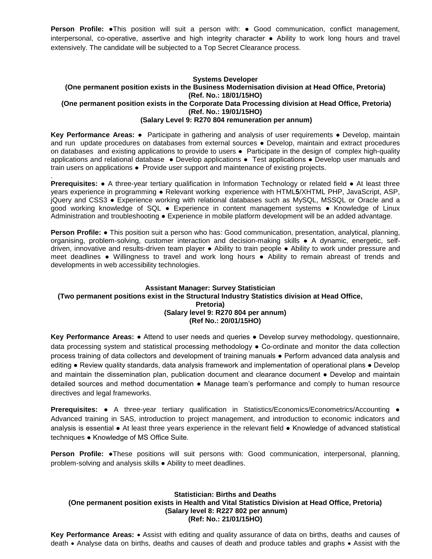**Person Profile:** ●This position will suit a person with: ● Good communication, conflict management, interpersonal, co-operative, assertive and high integrity character ● Ability to work long hours and travel extensively. The candidate will be subjected to a Top Secret Clearance process.

### **Systems Developer (One permanent position exists in the Business Modernisation division at Head Office, Pretoria) (Ref. No.: 18/01/15HO) (One permanent position exists in the Corporate Data Processing division at Head Office, Pretoria) (Ref. No.: 19/01/15HO) (Salary Level 9: R270 804 remuneration per annum)**

**Key Performance Areas:** ● Participate in gathering and analysis of user requirements ● Develop, maintain and run update procedures on databases from external sources ● Develop, maintain and extract procedures on databases and existing applications to provide to users ● Participate in the design of complex high-quality applications and relational database ● Develop applications ● Test applications ● Develop user manuals and train users on applications ● Provide user support and maintenance of existing projects.

. **Prerequisites:** ● A three-year tertiary qualification in Information Technology or related field ● At least three years experience in programming ● Relevant working experience with HTML**5**/XHTML PHP, JavaScript, ASP, jQuery and CSS3 ● Experience working with relational databases such as MySQL, MSSQL or Oracle and a good working knowledge of SQL ● Experience in content management systems ● Knowledge of Linux Administration and troubleshooting ● Experience in mobile platform development will be an added advantage.

**Person Profile:** ● This position suit a person who has: Good communication, presentation, analytical, planning, organising, problem-solving, customer interaction and decision-making skills ● A dynamic, energetic, selfdriven, innovative and results-driven team player ● Ability to train people ● Ability to work under pressure and meet deadlines ● Willingness to travel and work long hours ● Ability to remain abreast of trends and developments in web accessibility technologies.

# **Assistant Manager: Survey Statistician (Two permanent positions exist in the Structural Industry Statistics division at Head Office, Pretoria) (Salary level 9: R270 804 per annum) (Ref No.: 20/01/15HO)**

**Key Performance Areas:** ● Attend to user needs and queries ● Develop survey methodology, questionnaire, data processing system and statistical processing methodology ● Co-ordinate and monitor the data collection process training of data collectors and development of training manuals ● Perform advanced data analysis and editing ● Review quality standards, data analysis framework and implementation of operational plans ● Develop and maintain the dissemination plan, publication document and clearance document • Develop and maintain detailed sources and method documentation ● Manage team's performance and comply to human resource directives and legal frameworks.

**Prerequisites:** ● A three-year tertiary qualification in Statistics/Economics/Econometrics/Accounting ● Advanced training in SAS, introduction to project management, and introduction to economic indicators and analysis is essential ● At least three years experience in the relevant field ● Knowledge of advanced statistical techniques ● Knowledge of MS Office Suite.

**Person Profile:** ●These positions will suit persons with: Good communication, interpersonal, planning, problem-solving and analysis skills ● Ability to meet deadlines.

# **Statistician: Births and Deaths (One permanent position exists in Health and Vital Statistics Division at Head Office, Pretoria) (Salary level 8: R227 802 per annum) (Ref: No.: 21/01/15HO)**

**Key Performance Areas:** • Assist with editing and quality assurance of data on births, deaths and causes of death • Analyse data on births, deaths and causes of death and produce tables and graphs • Assist with the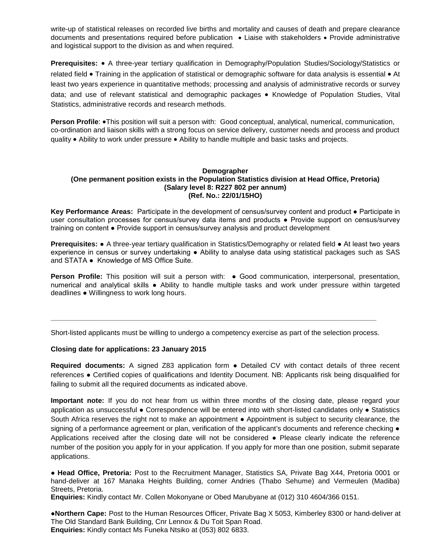write-up of statistical releases on recorded live births and mortality and causes of death and prepare clearance documents and presentations required before publication • Liaise with stakeholders • Provide administrative and logistical support to the division as and when required.

**Prerequisites:** • A three-year tertiary qualification in Demography/Population Studies/Sociology/Statistics or related field • Training in the application of statistical or demographic software for data analysis is essential • At least two years experience in quantitative methods; processing and analysis of administrative records or survey data; and use of relevant statistical and demographic packages • Knowledge of Population Studies, Vital Statistics, administrative records and research methods.

**Person Profile**: •This position will suit a person with: Good conceptual, analytical, numerical, communication, co-ordination and liaison skills with a strong focus on service delivery, customer needs and process and product quality • Ability to work under pressure • Ability to handle multiple and basic tasks and projects.

### **Demographer (One permanent position exists in the Population Statistics division at Head Office, Pretoria) (Salary level 8: R227 802 per annum) (Ref. No.: 22/01/15HO)**

**Key Performance Areas:** Participate in the development of census/survey content and product ● Participate in user consultation processes for census/survey data items and products ● Provide support on census/survey training on content ● Provide support in census/survey analysis and product development

**Prerequisites:** ● A three-year tertiary qualification in Statistics/Demography or related field ● At least two years experience in census or survey undertaking ● Ability to analyse data using statistical packages such as SAS and STATA ● Knowledge of MS Office Suite.

**Person Profile:** This position will suit a person with: ● Good communication, interpersonal, presentation, numerical and analytical skills ● Ability to handle multiple tasks and work under pressure within targeted deadlines ● Willingness to work long hours.

Short-listed applicants must be willing to undergo a competency exercise as part of the selection process.

**\_\_\_\_\_\_\_\_\_\_\_\_\_\_\_\_\_\_\_\_\_\_\_\_\_\_\_\_\_\_\_\_\_\_\_\_\_\_\_\_\_\_\_\_\_\_\_\_\_\_\_\_\_\_\_\_\_\_\_\_\_\_\_\_\_\_\_\_\_\_\_\_\_\_\_\_\_\_\_\_\_\_\_**

### **Closing date for applications: 23 January 2015**

**Required documents:** A signed Z83 application form ● Detailed CV with contact details of three recent references ● Certified copies of qualifications and Identity Document. NB: Applicants risk being disqualified for failing to submit all the required documents as indicated above.

**Important note:** If you do not hear from us within three months of the closing date, please regard your application as unsuccessful ● Correspondence will be entered into with short-listed candidates only ● Statistics South Africa reserves the right not to make an appointment ● Appointment is subject to security clearance, the signing of a performance agreement or plan, verification of the applicant's documents and reference checking  $\bullet$ Applications received after the closing date will not be considered ● Please clearly indicate the reference number of the position you apply for in your application. If you apply for more than one position, submit separate applications.

● **Head Office, Pretoria:** Post to the Recruitment Manager, Statistics SA, Private Bag X44, Pretoria 0001 or hand-deliver at 167 Manaka Heights Building, corner Andries (Thabo Sehume) and Vermeulen (Madiba) Streets, Pretoria.

**Enquiries:** Kindly contact Mr. Collen Mokonyane or Obed Marubyane at (012) 310 4604/366 0151.

●**Northern Cape:** Post to the Human Resources Officer, Private Bag X 5053, Kimberley 8300 or hand-deliver at The Old Standard Bank Building, Cnr Lennox & Du Toit Span Road. **Enquiries:** Kindly contact Ms Funeka Ntsiko at (053) 802 6833.